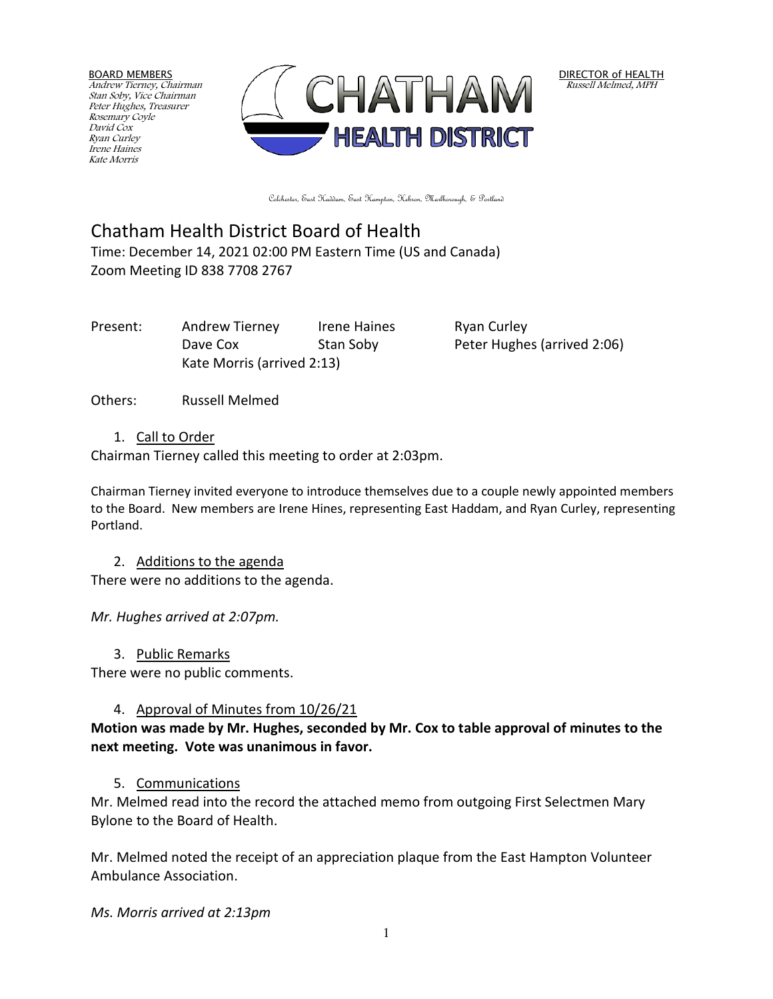BOARD MEMBERS Andrew Tierney, Chairman Stan Soby, Vice Chairman Peter Hughes, Treasurer Rosemary Coyle David Cox Ryan Curley Irene Haines Kate Morris



DIRECTOR of HEALTH Russell Melmed, MPH

Colchester, East Haddam, East Hampton, Hebron, Marlborough, & Portland

# Chatham Health District Board of Health

Time: December 14, 2021 02:00 PM Eastern Time (US and Canada) Zoom Meeting ID 838 7708 2767

Present: Andrew Tierney Irene Haines Ryan Curley Dave Cox Stan Soby Peter Hughes (arrived 2:06) Kate Morris (arrived 2:13)

Others: Russell Melmed

#### 1. Call to Order

Chairman Tierney called this meeting to order at 2:03pm.

Chairman Tierney invited everyone to introduce themselves due to a couple newly appointed members to the Board. New members are Irene Hines, representing East Haddam, and Ryan Curley, representing Portland.

2. Additions to the agenda

There were no additions to the agenda.

*Mr. Hughes arrived at 2:07pm.*

3. Public Remarks

There were no public comments.

#### 4. Approval of Minutes from 10/26/21

#### **Motion was made by Mr. Hughes, seconded by Mr. Cox to table approval of minutes to the next meeting. Vote was unanimous in favor.**

#### 5. Communications

Mr. Melmed read into the record the attached memo from outgoing First Selectmen Mary Bylone to the Board of Health.

Mr. Melmed noted the receipt of an appreciation plaque from the East Hampton Volunteer Ambulance Association.

*Ms. Morris arrived at 2:13pm*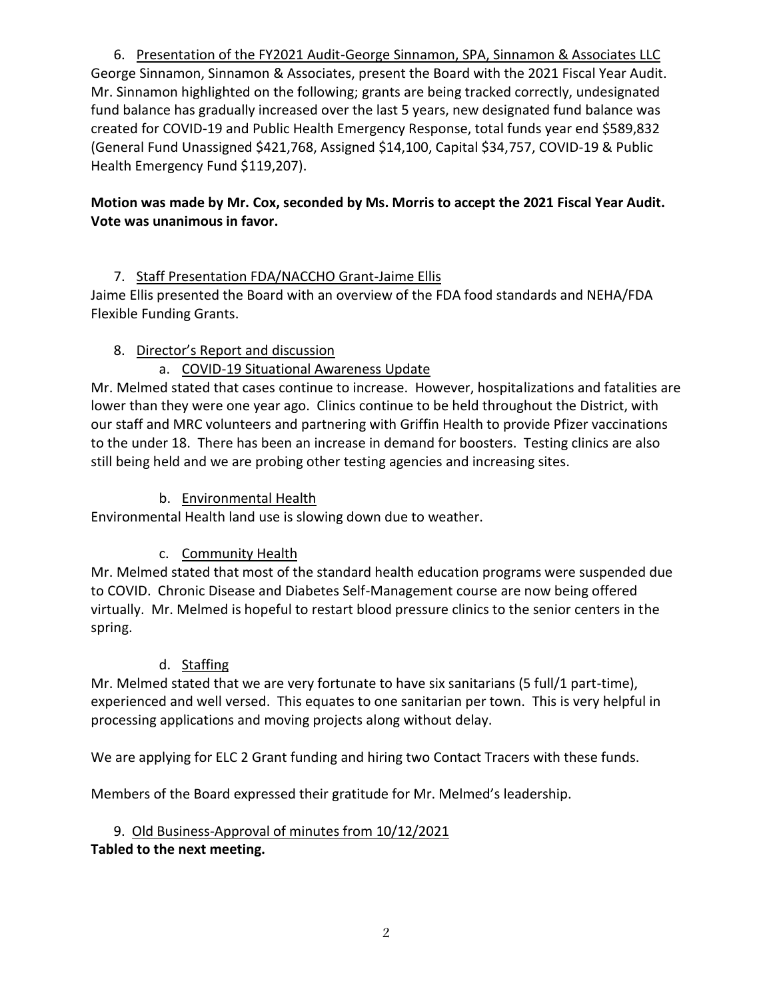6. Presentation of the FY2021 Audit-George Sinnamon, SPA, Sinnamon & Associates LLC George Sinnamon, Sinnamon & Associates, present the Board with the 2021 Fiscal Year Audit. Mr. Sinnamon highlighted on the following; grants are being tracked correctly, undesignated fund balance has gradually increased over the last 5 years, new designated fund balance was created for COVID-19 and Public Health Emergency Response, total funds year end \$589,832 (General Fund Unassigned \$421,768, Assigned \$14,100, Capital \$34,757, COVID-19 & Public Health Emergency Fund \$119,207).

## **Motion was made by Mr. Cox, seconded by Ms. Morris to accept the 2021 Fiscal Year Audit. Vote was unanimous in favor.**

## 7. Staff Presentation FDA/NACCHO Grant-Jaime Ellis

Jaime Ellis presented the Board with an overview of the FDA food standards and NEHA/FDA Flexible Funding Grants.

## 8. Director's Report and discussion

## a. COVID-19 Situational Awareness Update

Mr. Melmed stated that cases continue to increase. However, hospitalizations and fatalities are lower than they were one year ago. Clinics continue to be held throughout the District, with our staff and MRC volunteers and partnering with Griffin Health to provide Pfizer vaccinations to the under 18. There has been an increase in demand for boosters. Testing clinics are also still being held and we are probing other testing agencies and increasing sites.

## b. Environmental Health

Environmental Health land use is slowing down due to weather.

## c. Community Health

Mr. Melmed stated that most of the standard health education programs were suspended due to COVID. Chronic Disease and Diabetes Self-Management course are now being offered virtually. Mr. Melmed is hopeful to restart blood pressure clinics to the senior centers in the spring.

#### d. Staffing

Mr. Melmed stated that we are very fortunate to have six sanitarians (5 full/1 part-time), experienced and well versed. This equates to one sanitarian per town. This is very helpful in processing applications and moving projects along without delay.

We are applying for ELC 2 Grant funding and hiring two Contact Tracers with these funds.

Members of the Board expressed their gratitude for Mr. Melmed's leadership.

## 9. Old Business-Approval of minutes from 10/12/2021

**Tabled to the next meeting.**